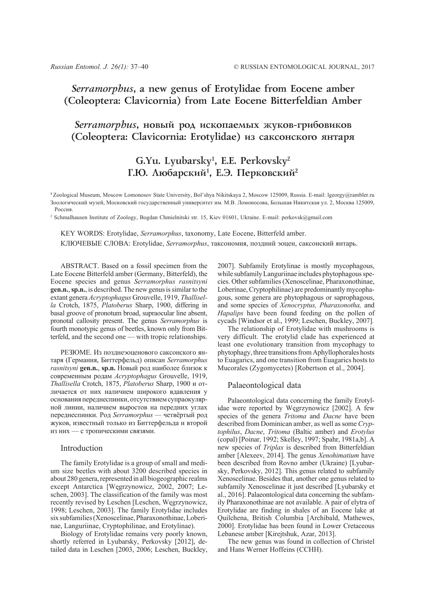## *Serramorphus***, a new genus of Erotylidae from Eocene amber (Coleoptera: Clavicornia) from Late Eocene Bitterfeldian Amber**

# Serramorphus, новый род ископаемых жуков-грибовиков (Coleoptera: Clavicornia: Erotylidae) из саксонского янтаря

# **G.Yu. Lyubarsky1 , E.E. Perkovsky2** Г.Ю. Любарский<sup>1</sup>, Е.Э. Перковский<sup>2</sup>

**<sup>1</sup>**Zoological Museum, Moscow Lomonosov State University, Bol'shya Nikitskaya 2, Moscow 125009, Russia. E-mail: lgeorgy@rambler.ru Зоологический музей, Московский государственный университет им. М.В. Ломоносова, Большая Никитская ул. 2, Москва 125009, Россия.

2 Schmalhausen Institute of Zoology, Bogdan Chmielnitski str. 15, Kiev 01601, Ukraine. E-mail: perkovsk@gmail.com

KEY WORDS: Erotylidae, *Serramorphus*, taxonomy, Late Eocene, Bitterfeld amber. КЛЮЧЕВЫЕ СЛОВА: Erotylidae, *Serramorphus*, таксономия, поздний эоцен, саксонский янтарь.

ABSTRACT. Based on a fossil specimen from the Late Eocene Bitterfeld amber (Germany, Bitterfeld), the Eocene species and genus *Serramorphus rasnitsyni* **gen.n.**, **sp.n.**, is described. The new genus is similar to the extant genera *Acryptophagus* Grouvelle, 1919, *Thallisella* Crotch, 1875, *Platoberus* Sharp, 1900, differing in basal groove of pronotum broad, supraocular line absent, pronotal callosity present. The genus *Serramorphus* is fourth monotypic genus of beetles, known only from Bitterfeld, and the second one — with tropic relationships.

РЕЗЮМЕ. Из позднеэоценового саксонского янтаря (Германия, Биттерфельд) описан *Serramorphus rasnitsyni* **gen.n.**, **sp.n.** Новый род наиболее близок к современным родам *Acryptophagus* Grouvelle, 1919, *Thallisella* Crotch, 1875, *Platoberus* Sharp, 1900 и отличается от них наличием широкого вдавления у основания переднеспинки, отсутствием супраокулярной линии, наличием выростов на передних углах переднеспинки. Род *Serramorphus —* четвёртый род жуков, известный только из Биттерфельда и второй из них — с тропическими связями.

#### Introduction

The family Erotylidae is a group of small and medium size beetles with about 3200 described species in about 280 genera, represented in all biogeographic realms except Antarctica [Węgrzynowicz, 2002, 2007; Leschen, 2003]. The classification of the family was most recently revised by Leschen [Leschen, Węgrzynowicz, 1998; Leschen, 2003]. The family Erotylidae includes six subfamilies (Xenoscelinae, Pharaxonothinae, Loberinae, Languriinae, Cryptophilinae, and Erotylinae).

Biology of Erotylidae remains very poorly known, shortly referred in Lyubarsky, Perkovsky [2012], detailed data in Leschen [2003, 2006; Leschen, Buckley, 2007]. Subfamily Erotylinae is mostly mycophagous, while subfamily Languriinae includes phytophagous species. Other subfamilies (Xenoscelinae, Pharaxonothinae, Loberinae, Cryptophilinae) are predominantly mycophagous, some genera are phytophagous or saprophagous, and some species of *Xenocryptus, Pharaxonotha,* and *Hapalips* have been found feeding on the pollen of cycads [Windsor et al., 1999; Leschen, Buckley, 2007]*.*

The relationship of Erotylidae with mushrooms is very difficult. The erotylid clade has experienced at least one evolutionary transition from mycophagy to phytophagy, three transitions from Aphyllophorales hosts to Euagarics, and one transition from Euagarics hosts to Mucorales (Zygomycetes) [Robertson et al., 2004].

### Palaeontological data

Palaeontological data concerning the family Erotylidae were reported by Węgrzynowicz [2002]. A few species of the genera *Tritoma* and *Dacne* have been described from Dominican amber, as well as some *Cryptophilus*, *Dacne*, *Tritoma* (Baltic amber) and *Erotylus* (copal) [Poinar, 1992; Skelley, 1997; Spahr, 1981a,b]. A new species of *Triplax* is described from Bitterfeldian amber [Alexeev, 2014]. The genus *Xenohimatium* have been described from Rovno amber (Ukraine) [Lyubarsky, Perkovsky, 2012]. This genus related to subfamily Xenoscelinae. Besides that, another one genus related to subfamily Xenoscelinae it just described [Lyubarsky et al., 2016]. Palaeontological data concerning the subfamily Pharaxonothinae are not available. A pair of elytra of Erotylidae are finding in shales of an Eocene lake at Quilchena, British Columbia [Archibald, Mathewes, 2000]. Erotylidae has been found in Lower Cretaceous Lebanese amber [Kirejtshuk, Azar, 2013].

The new genus was found in collection of Christel and Hans Werner Hoffeins (CCHH).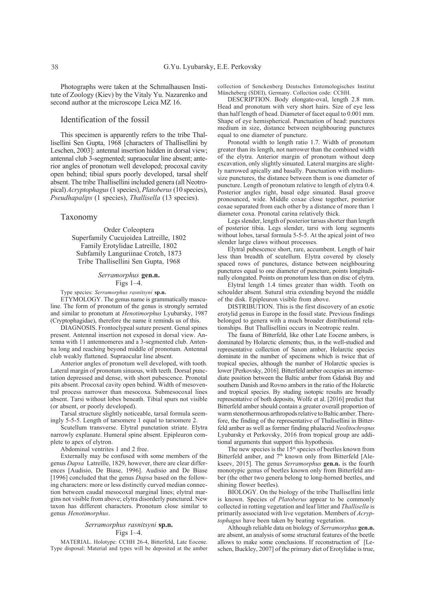Photographs were taken at the Schmalhausen Institute of Zoology (Kiev) by the Vitaly Yu. Nazarenko and second author at the microscope Leica MZ 16.

### Identification of the fossil

This specimen is apparently refers to the tribe Thallisellini Sen Gupta, 1968 [characters of Thallisellini by Leschen, 2003]: antennal insertion hidden in dorsal view; antennal club 3-segmented; supraocular line absent; anterior angles of pronotum well developed; procoxal cavity open behind; tibial spurs poorly developed, tarsal shelf absent. The tribe Thallisellini included genera (all Neotropical) *Acryptophagus* (1 species), *Platoberus* (10 species), *Pseudhapalips* (1 species), *Thallisella* (13 species).

#### Taxonomy

Order Coleoptera Superfamily Cucujoidea Latreille, 1802 Family Erotylidae Latreille, 1802 Subfamily Languriinae Crotch, 1873 Tribe Thallisellini Sen Gupta, 1968

#### *Serramorphus* **gen.n.** Figs 1–4.

Type species: *Serramorphus rasnitsyni* **sp.n.**

ETYMOLOGY. The genus name is grammatically masculine. The form of pronotum of the genus is strongly serrated and similar to pronotum at *Henotimorphus* Lyubarsky, 1987 (Cryptophagidae), therefore the name it reminds us of this.

DIAGNOSIS. Frontoclypeal suture present. Genal spines present. Antennal insertion not exposed in dorsal view. Antenna with 11 antennomeres and a 3-segmented club. Antenna long and reaching beyond middle of pronotum. Antennal club weakly flattened. Supraocular line absent.

Anterior angles of pronotum well developed, with tooth. Lateral margin of pronotum sinuous, with teeth. Dorsal punctation depressed and dense, with short pubescence. Pronotal pits absent. Procoxal cavity open behind. Width of mesoventral process narrower than mesocoxa. Submesocoxal lines absent. Tarsi without lobes beneath. Tibial spurs not visible (or absent, or poorly developed).

Tarsal structure slightly noticeable, tarsal formula seemingly 5-5-5. Length of tarsomere 1 equal to tarsomere 2.

Scutellum transverse. Elytral punctation striate. Elytra narrowly explanate. Humeral spine absent. Epipleuron complete to apex of elytron.

Abdominal ventrites 1 and 2 free.

Externally may be confused with some members of the genus *Dapsa* Latreille, 1829, however, there are clear differences [Audisio, De Biase, 1996]. Audisio and De Biase [1996] concluded that the genus *Dapsa* based on the following characters: more or less distinctly curved median connection between caudal mesocoxal marginal lines; elytral margins not visible from above; elytra disorderly punctured. New taxon has different characters. Pronotum close similar to genus *Henotimorphus*.

#### *Serramorphus rasnitsyni* **sp.n.** Figs 1–4.

MATERIAL. Holotype: CCHH 26-4, Bitterfeld, Late Eocene. Type disposal: Material and types will be deposited at the amber collection of Senckenberg Deutsches Entomologisches Institut Müncheberg (SDEI), Germany. Collection code: CCHH.

DESCRIPTION. Body elongate-oval, length 2.8 mm. Head and pronotum with very short hairs. Size of eye less than half length of head. Diameter of facet equal to 0.001 mm. Shape of eye hemispherical. Punctuation of head: punctures medium in size, distance between neighbouring punctures equal to one diameter of puncture.

Pronotal width to length ratio 1.7. Width of pronotum greater than its length, not narrower than the combined width of the elytra. Anterior margin of pronotum without deep excavation, only slightly sinuated. Lateral margins are slightly narrowed apically and basally. Punctuation with mediumsize punctures, the distance between them is one diameter of puncture. Length of pronotum relative to length of elytra 0.4. Posterior angles right, basal edge sinuated. Basal groove pronounced, wide. Middle coxae close together, posterior coxae separated from each other by a distance of more than 1 diameter coxa. Pronotal carina relatively thick.

Legs slender, length of posterior tarsus shorter than length of posterior tibia. Legs slender, tarsi with long segments without lobes, tarsal formula 5-5-5. At the apical joint of two slender large claws without processes.

Elytral pubescence short, rare, accumbent. Length of hair less than breadth of scutellum. Elytra covered by closely spaced rows of punctures, distance between neighbouring punctures equal to one diameter of puncture, points longitudinally elongated. Points on pronotum less than on disc of elytra.

Elytral length 1.4 times greater than width. Tooth on schoulder absent. Sutural stria extending beyond the middle of the disk. Epipleuron visible from above.

DISTRIBUTION. This is the first discovery of an exotic erotylid genus in Europe in the fossil state. Previous findings belonged to genera with a much broader distributional relationships. But Thallisellini occurs in Neotropic realm.

The fauna of Bitterfeld, like other Late Eocene ambers, is dominated by Holarctic elements; thus, in the well-studied and representative collection of Saxon amber, Holarctic species dominate in the number of specimens which is twice that of tropical species, although the number of Holarctic species is lower [Perkovsky, 2016]. Bitterfeld amber occupies an intermediate position between the Baltic amber from Gdańsk Bay and southern Danish and Rovno ambers in the ratio of the Holarctic and tropical species. By studing isotopic results are broadly representative of both deposits, Wolfe et al. [2016] predict that Bitterfeld amber should contain a greater overall proportion of warm stenothermous arthropods relative to Baltic amber. Therefore, the finding of the representative of Thalisellini in Bitterfeld amber as well as former finding phalacrid *Neolitochropus* Lyubarsky et Perkovsky, 2016 from tropical group are additional arguments that support this hypothesis.

The new species is the 15<sup>th</sup> species of beetles known from Bitterfeld amber, and 7<sup>th</sup> known only from Bitterfeld [Alekseev, 2015]. The genus *Serramorphus* **gen.n.** is the fourth monotypic genus of beetles known only from Bitterfeld amber (the other two genera belong to long-horned beetles, and shining flower beetles).

BIOLOGY. On the biology of the tribe Thallisellini little is known. Species of *Platoberus* appear to be commonly collected in rotting vegetation and leaf litter and *Thallisella* is primarily associated with live vegetation. Members of *Acryptophagus* have been taken by beating vegetation.

Although reliable data on biology of *Serramorphus* **gen.n.** are absent, an analysis of some structural features of the beetle allows to make some conclusions. If reconstruction of [Leschen, Buckley, 2007] of the primary diet of Erotylidae is true,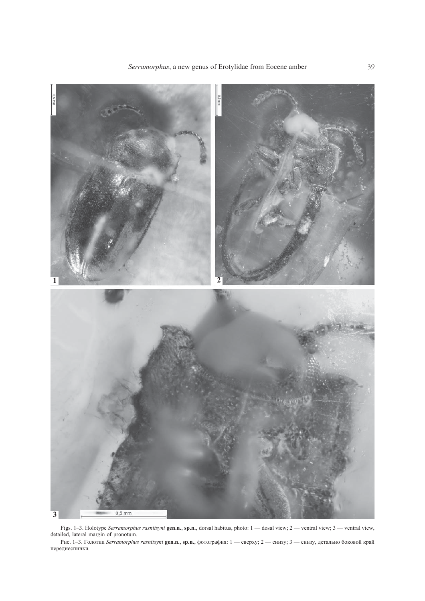

Figs. 1–3. Holotype *Serramorphus rasnitsyni* **gen.n.**, **sp.n.**, dorsal habitus, photo: 1 — dosal view; 2 — ventral view; 3 — ventral view, detailed, lateral margin of pronotum*.*

Рис. 1–3. Голотип *Serramorphus rasnitsyni* **gen.n.**, **sp.n.**, фотография: 1 — сверху; 2 — снизу; 3 — снизу, детально боковой край переднеспинки*.*